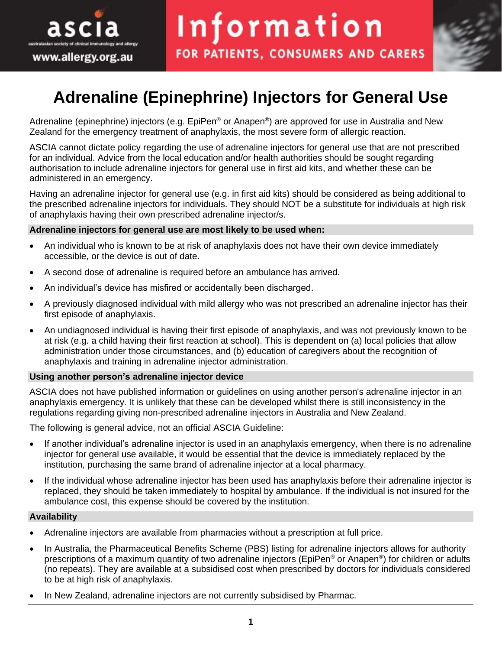

# **Adrenaline (Epinephrine) Injectors for General Use**

Adrenaline (epinephrine) injectors (e.g. EpiPen® or Anapen®) are approved for use in Australia and New Zealand for the emergency treatment of anaphylaxis, the most severe form of allergic reaction.

ASCIA cannot dictate policy regarding the use of adrenaline injectors for general use that are not prescribed for an individual. Advice from the local education and/or health authorities should be sought regarding authorisation to include adrenaline injectors for general use in first aid kits, and whether these can be administered in an emergency.

Having an adrenaline injector for general use (e.g. in first aid kits) should be considered as being additional to the prescribed adrenaline injectors for individuals. They should NOT be a substitute for individuals at high risk of anaphylaxis having their own prescribed adrenaline injector/s.

#### **Adrenaline injectors for general use are most likely to be used when:**

- An individual who is known to be at risk of anaphylaxis does not have their own device immediately accessible, or the device is out of date.
- A second dose of adrenaline is required before an ambulance has arrived.
- An individual's device has misfired or accidentally been discharged.
- A previously diagnosed individual with mild allergy who was not prescribed an adrenaline injector has their first episode of anaphylaxis.
- An undiagnosed individual is having their first episode of anaphylaxis, and was not previously known to be at risk (e.g. a child having their first reaction at school). This is dependent on (a) local policies that allow administration under those circumstances, and (b) education of caregivers about the recognition of anaphylaxis and training in adrenaline injector administration.

#### **Using another person's adrenaline injector device**

ASCIA does not have published information or guidelines on using another person's adrenaline injector in an anaphylaxis emergency. It is unlikely that these can be developed whilst there is still inconsistency in the regulations regarding giving non-prescribed adrenaline injectors in Australia and New Zealand.

The following is general advice, not an official ASCIA Guideline:

- If another individual's adrenaline injector is used in an anaphylaxis emergency, when there is no adrenaline injector for general use available, it would be essential that the device is immediately replaced by the institution, purchasing the same brand of adrenaline injector at a local pharmacy.
- If the individual whose adrenaline injector has been used has anaphylaxis before their adrenaline injector is replaced, they should be taken immediately to hospital by ambulance. If the individual is not insured for the ambulance cost, this expense should be covered by the institution.

#### **Availability**

- Adrenaline injectors are available from pharmacies without a prescription at full price.
- In Australia, the Pharmaceutical Benefits Scheme (PBS) listing for adrenaline injectors allows for authority prescriptions of a maximum quantity of two adrenaline injectors (EpiPen® or Anapen®) for children or adults (no repeats). They are available at a subsidised cost when prescribed by doctors for individuals considered to be at high risk of anaphylaxis.
- In New Zealand, adrenaline injectors are not currently subsidised by Pharmac.